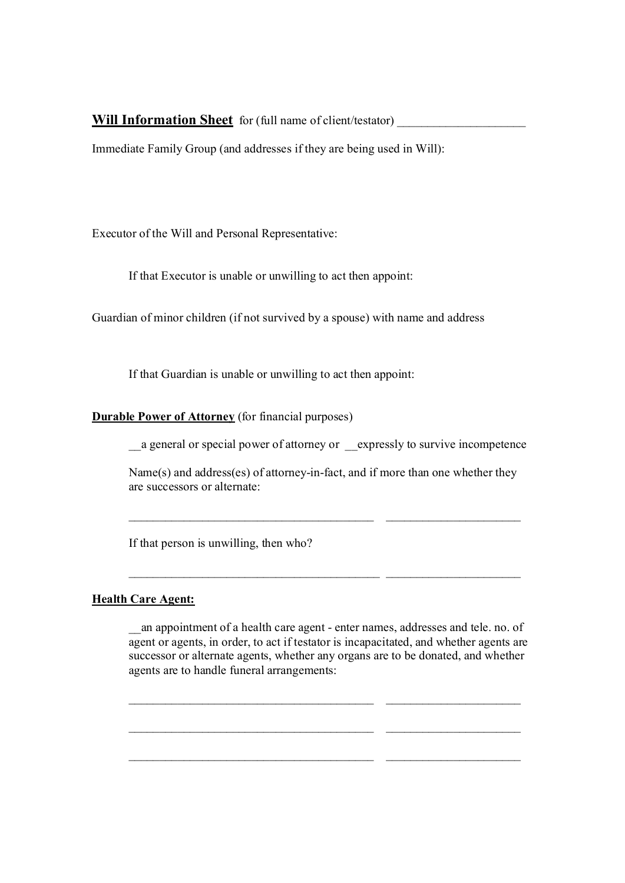## **Will Information Sheet** for (full name of client/testator)

Immediate Family Group (and addresses if they are being used in Will):

Executor of the Will and Personal Representative:

If that Executor is unable or unwilling to act then appoint:

Guardian of minor children (if not survived by a spouse) with name and address

If that Guardian is unable or unwilling to act then appoint:

**Durable Power of Attorney** (for financial purposes)

\_\_a general or special power of attorney or \_\_expressly to survive incompetence

Name(s) and address(es) of attorney-in-fact, and if more than one whether they are successors or alternate:

 $\mathcal{L}_\mathcal{L}$  , and the set of the set of the set of the set of the set of the set of the set of the set of the set of the set of the set of the set of the set of the set of the set of the set of the set of the set of th

 $\mathcal{L}_\mathcal{L}$  , and the set of the set of the set of the set of the set of the set of the set of the set of the set of the set of the set of the set of the set of the set of the set of the set of the set of the set of th

If that person is unwilling, then who?

## **Health Care Agent:**

an appointment of a health care agent - enter names, addresses and tele. no. of agent or agents, in order, to act if testator is incapacitated, and whether agents are successor or alternate agents, whether any organs are to be donated, and whether agents are to handle funeral arrangements:

 $\mathcal{L}_\mathcal{L}$  , and the set of the set of the set of the set of the set of the set of the set of the set of the set of the set of the set of the set of the set of the set of the set of the set of the set of the set of th

 $\mathcal{L}_\text{max} = \frac{1}{2} \sum_{i=1}^n \mathcal{L}_\text{max}(\mathbf{z}_i - \mathbf{z}_i)$ 

\_\_\_\_\_\_\_\_\_\_\_\_\_\_\_\_\_\_\_\_\_\_\_\_\_\_\_\_\_\_\_\_\_\_\_\_\_\_\_\_ \_\_\_\_\_\_\_\_\_\_\_\_\_\_\_\_\_\_\_\_\_\_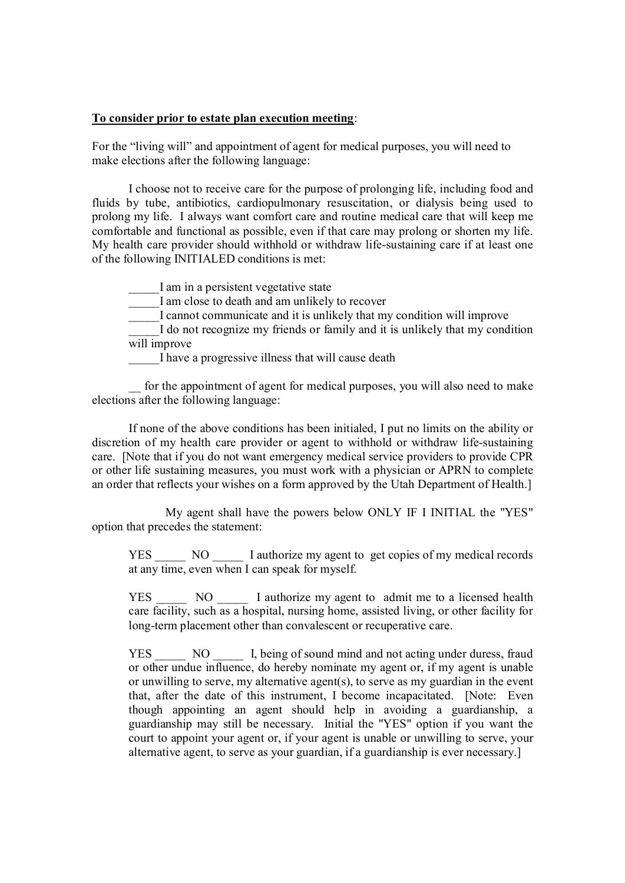## **To consider prior to estate plan execution meeting**:

For the "living will" and appointment of agent for medical purposes, you will need to make elections after the following language:

I choose not to receive care for the purpose of prolonging life, including food and fluids by tube, antibiotics, cardiopulmonary resuscitation, or dialysis being used to prolong my life. I always want comfort care and routine medical care that will keep me comfortable and functional as possible, even if that care may prolong or shorten my life. My health care provider should withhold or withdraw life-sustaining care if at least one of the following INITIALED conditions is met:

I am in a persistent vegetative state

I am close to death and am unlikely to recover

I cannot communicate and it is unlikely that my condition will improve

I do not recognize my friends or family and it is unlikely that my condition will improve

I have a progressive illness that will cause death

\_\_ for the appointment of agent for medical purposes, you will also need to make elections after the following language:

If none of the above conditions has been initialed, I put no limits on the ability or discretion of my health care provider or agent to withhold or withdraw life-sustaining care. [Note that if you do not want emergency medical service providers to provide CPR or other life sustaining measures, you must work with a physician or APRN to complete an order that reflects your wishes on a form approved by the Utah Department of Health.]

My agent shall have the powers below ONLY IF I INITIAL the "YES" option that precedes the statement:

YES \_\_\_\_\_ NO \_\_\_\_\_ I authorize my agent to get copies of my medical records at any time, even when I can speak for myself.

YES NO I authorize my agent to admit me to a licensed health care facility, such as a hospital, nursing home, assisted living, or other facility for long-term placement other than convalescent or recuperative care.

YES NO I, being of sound mind and not acting under duress, fraud or other undue influence, do hereby nominate my agent or, if my agent is unable or unwilling to serve, my alternative agent(s), to serve as my guardian in the event that, after the date of this instrument, I become incapacitated. [Note: Even though appointing an agent should help in avoiding a guardianship, a guardianship may still be necessary. Initial the "YES" option if you want the court to appoint your agent or, if your agent is unable or unwilling to serve, your alternative agent, to serve as your guardian, if a guardianship is ever necessary.]